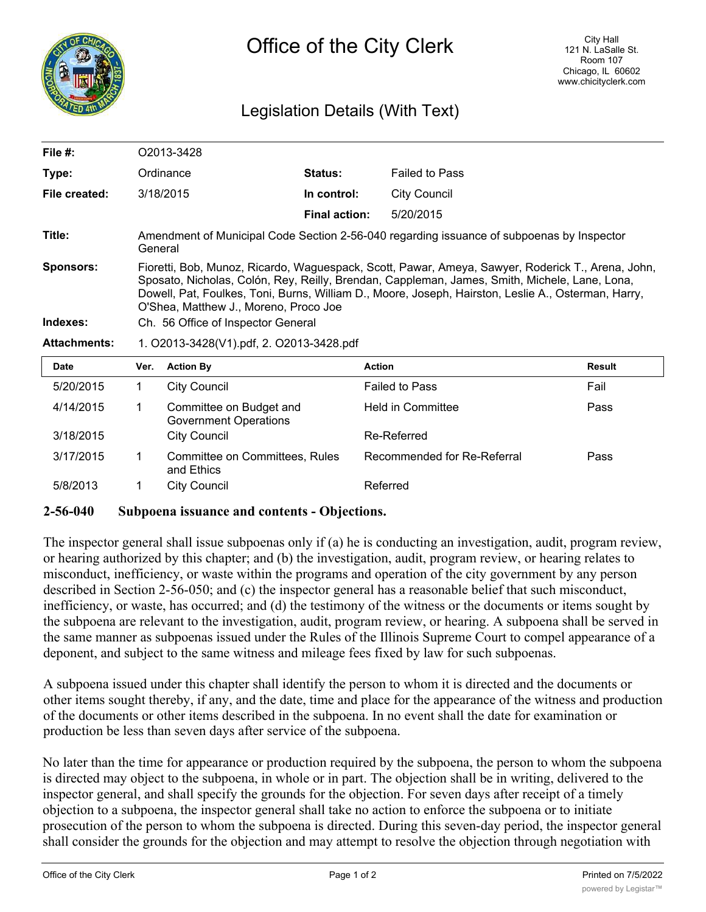

## Legislation Details (With Text)

| File $#$ :          | O2013-3428                                                                                                                                                                                                                                                                                                                                         |                      |                       |  |  |
|---------------------|----------------------------------------------------------------------------------------------------------------------------------------------------------------------------------------------------------------------------------------------------------------------------------------------------------------------------------------------------|----------------------|-----------------------|--|--|
| Type:               | Ordinance                                                                                                                                                                                                                                                                                                                                          | <b>Status:</b>       | <b>Failed to Pass</b> |  |  |
| File created:       | 3/18/2015                                                                                                                                                                                                                                                                                                                                          | In control:          | City Council          |  |  |
|                     |                                                                                                                                                                                                                                                                                                                                                    | <b>Final action:</b> | 5/20/2015             |  |  |
| Title:              | Amendment of Municipal Code Section 2-56-040 regarding issuance of subpoenas by Inspector<br>General                                                                                                                                                                                                                                               |                      |                       |  |  |
| <b>Sponsors:</b>    | Fioretti, Bob, Munoz, Ricardo, Waguespack, Scott, Pawar, Ameya, Sawyer, Roderick T., Arena, John,<br>Sposato, Nicholas, Colón, Rey, Reilly, Brendan, Cappleman, James, Smith, Michele, Lane, Lona,<br>Dowell, Pat, Foulkes, Toni, Burns, William D., Moore, Joseph, Hairston, Leslie A., Osterman, Harry,<br>O'Shea, Matthew J., Moreno, Proco Joe |                      |                       |  |  |
| Indexes:            | Ch. 56 Office of Inspector General                                                                                                                                                                                                                                                                                                                 |                      |                       |  |  |
| <b>Attachments:</b> | 1. O2013-3428(V1).pdf, 2. O2013-3428.pdf                                                                                                                                                                                                                                                                                                           |                      |                       |  |  |

| Date      | Ver. | <b>Action By</b>                                        | <b>Action</b>               | Result |
|-----------|------|---------------------------------------------------------|-----------------------------|--------|
| 5/20/2015 |      | <b>City Council</b>                                     | <b>Failed to Pass</b>       | Fail   |
| 4/14/2015 |      | Committee on Budget and<br><b>Government Operations</b> | <b>Held in Committee</b>    | Pass   |
| 3/18/2015 |      | <b>City Council</b>                                     | Re-Referred                 |        |
| 3/17/2015 |      | <b>Committee on Committees, Rules</b><br>and Ethics     | Recommended for Re-Referral | Pass   |
| 5/8/2013  |      | <b>City Council</b>                                     | Referred                    |        |

## **2-56-040 Subpoena issuance and contents - Objections.**

The inspector general shall issue subpoenas only if (a) he is conducting an investigation, audit, program review, or hearing authorized by this chapter; and (b) the investigation, audit, program review, or hearing relates to misconduct, inefficiency, or waste within the programs and operation of the city government by any person described in Section 2-56-050; and (c) the inspector general has a reasonable belief that such misconduct, inefficiency, or waste, has occurred; and (d) the testimony of the witness or the documents or items sought by the subpoena are relevant to the investigation, audit, program review, or hearing. A subpoena shall be served in the same manner as subpoenas issued under the Rules of the Illinois Supreme Court to compel appearance of a deponent, and subject to the same witness and mileage fees fixed by law for such subpoenas.

A subpoena issued under this chapter shall identify the person to whom it is directed and the documents or other items sought thereby, if any, and the date, time and place for the appearance of the witness and production of the documents or other items described in the subpoena. In no event shall the date for examination or production be less than seven days after service of the subpoena.

No later than the time for appearance or production required by the subpoena, the person to whom the subpoena is directed may object to the subpoena, in whole or in part. The objection shall be in writing, delivered to the inspector general, and shall specify the grounds for the objection. For seven days after receipt of a timely objection to a subpoena, the inspector general shall take no action to enforce the subpoena or to initiate prosecution of the person to whom the subpoena is directed. During this seven-day period, the inspector general shall consider the grounds for the objection and may attempt to resolve the objection through negotiation with